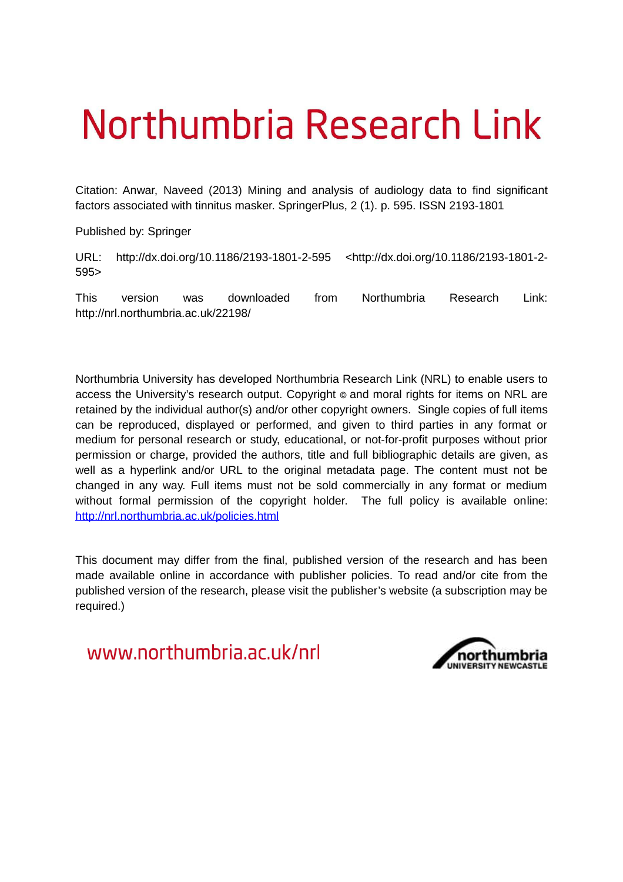# <span id="page-0-0"></span>Northumbria Research Link

Citation: Anwar, Naveed (2013) Mining and analysis of audiology data to find significant factors associated with tinnitus masker. SpringerPlus, 2 (1). p. 595. ISSN 2193-1801

Published by: Springer

URL: http://dx.doi.org/10.1186/2193-1801-2-595 <http://dx.doi.org/10.1186/2193-1801-2- 595>

This version was downloaded from Northumbria Research Link: http://nrl.northumbria.ac.uk/22198/

Northumbria University has developed Northumbria Research Link (NRL) to enable users to access the University's research output. Copyright  $\circ$  and moral rights for items on NRL are retained by the individual author(s) and/or other copyright owners. Single copies of full items can be reproduced, displayed or performed, and given to third parties in any format or medium for personal research or study, educational, or not-for-profit purposes without prior permission or charge, provided the authors, title and full bibliographic details are given, as well as a hyperlink and/or URL to the original metadata page. The content must not be changed in any way. Full items must not be sold commercially in any format or medium without formal permission of the copyright holder. The full policy is available online: <http://nrl.northumbria.ac.uk/policies.html>

This document may differ from the final, published version of the research and has been made available online in accordance with publisher policies. To read and/or cite from the published version of the research, please visit the publisher's website (a subscription may be required.)

www.northumbria.ac.uk/nrl

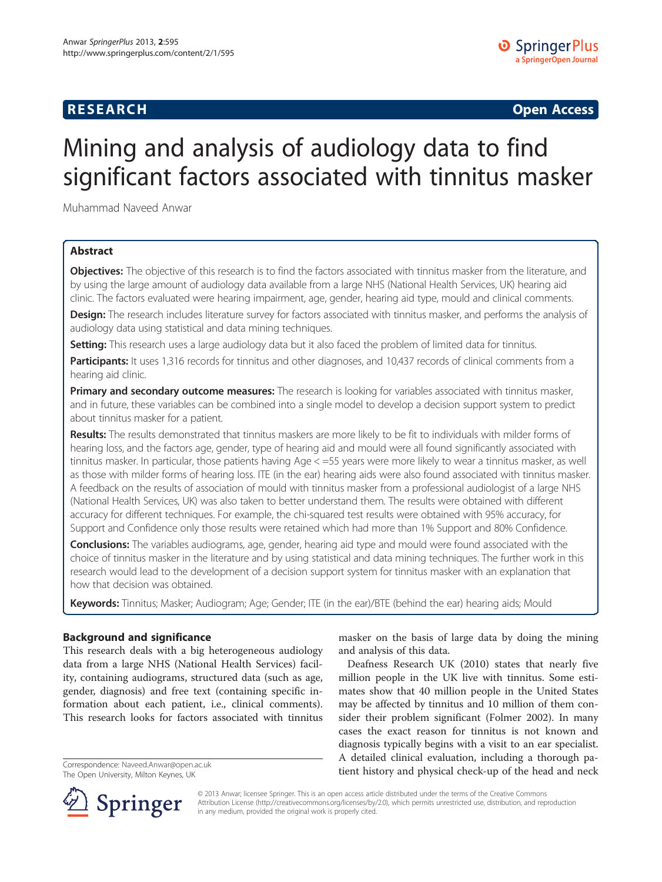### <span id="page-1-0"></span>**RESEARCH CHINESE ARCH CHINESE ARCH CHINESE ARCH <b>CHINESE ARCH**

# Mining and analysis of audiology data to find significant factors associated with tinnitus masker

Muhammad Naveed Anwar

#### Abstract

Objectives: The objective of this research is to find the factors associated with tinnitus masker from the literature, and by using the large amount of audiology data available from a large NHS (National Health Services, UK) hearing aid clinic. The factors evaluated were hearing impairment, age, gender, hearing aid type, mould and clinical comments.

Design: The research includes literature survey for factors associated with tinnitus masker, and performs the analysis of audiology data using statistical and data mining techniques.

Setting: This research uses a large audiology data but it also faced the problem of limited data for tinnitus.

Participants: It uses 1,316 records for tinnitus and other diagnoses, and 10,437 records of clinical comments from a hearing aid clinic.

Primary and secondary outcome measures: The research is looking for variables associated with tinnitus masker, and in future, these variables can be combined into a single model to develop a decision support system to predict about tinnitus masker for a patient.

Results: The results demonstrated that tinnitus maskers are more likely to be fit to individuals with milder forms of hearing loss, and the factors age, gender, type of hearing aid and mould were all found significantly associated with tinnitus masker. In particular, those patients having Age < =55 years were more likely to wear a tinnitus masker, as well as those with milder forms of hearing loss. ITE (in the ear) hearing aids were also found associated with tinnitus masker. A feedback on the results of association of mould with tinnitus masker from a professional audiologist of a large NHS (National Health Services, UK) was also taken to better understand them. The results were obtained with different accuracy for different techniques. For example, the chi-squared test results were obtained with 95% accuracy, for Support and Confidence only those results were retained which had more than 1% Support and 80% Confidence.

Conclusions: The variables audiograms, age, gender, hearing aid type and mould were found associated with the choice of tinnitus masker in the literature and by using statistical and data mining techniques. The further work in this research would lead to the development of a decision support system for tinnitus masker with an explanation that how that decision was obtained.

Keywords: Tinnitus; Masker; Audiogram; Age; Gender; ITE (in the ear)/BTE (behind the ear) hearing aids; Mould

#### Background and significance

This research deals with a big heterogeneous audiology data from a large NHS (National Health Services) facility, containing audiograms, structured data (such as age, gender, diagnosis) and free text (containing specific information about each patient, i.e., clinical comments). This research looks for factors associated with tinnitus

The Open University, Milton Keynes, UK

masker on the basis of large data by doing the mining and analysis of this data.

Deafness Research UK [\(2010](#page-9-0)) states that nearly five million people in the UK live with tinnitus. Some estimates show that 40 million people in the United States may be affected by tinnitus and 10 million of them consider their problem significant (Folmer [2002](#page-9-0)). In many cases the exact reason for tinnitus is not known and diagnosis typically begins with a visit to an ear specialist. A detailed clinical evaluation, including a thorough patient history and physical check-up of the head and neck Correspondence: [Naveed.Anwar@open.ac.uk](mailto:Naveed.Anwar@open.ac.uk)



© 2013 Anwar; licensee Springer. This is an open access article distributed under the terms of the Creative Commons Attribution License [\(http://creativecommons.org/licenses/by/2.0\)](http://creativecommons.org/licenses/by/2.0), which permits unrestricted use, distribution, and reproduction in any medium, provided the original work is properly cited.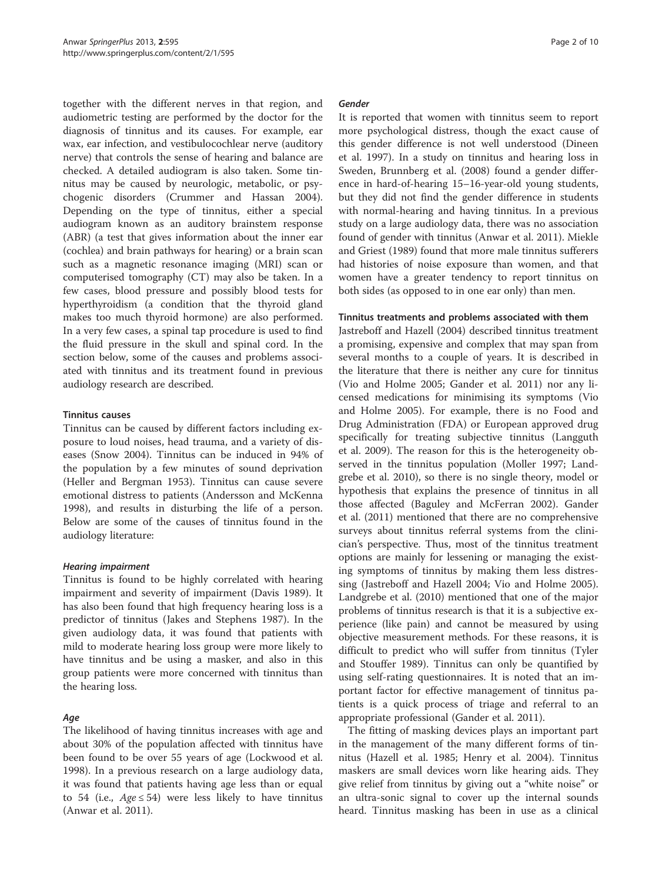together with the different nerves in that region, and audiometric testing are performed by the doctor for the diagnosis of tinnitus and its causes. For example, ear wax, ear infection, and vestibulocochlear nerve (auditory nerve) that controls the sense of hearing and balance are checked. A detailed audiogram is also taken. Some tinnitus may be caused by neurologic, metabolic, or psychogenic disorders (Crummer and Hassan [2004](#page-9-0)). Depending on the type of tinnitus, either a special audiogram known as an auditory brainstem response (ABR) (a test that gives information about the inner ear (cochlea) and brain pathways for hearing) or a brain scan such as a magnetic resonance imaging (MRI) scan or computerised tomography (CT) may also be taken. In a few cases, blood pressure and possibly blood tests for hyperthyroidism (a condition that the thyroid gland makes too much thyroid hormone) are also performed. In a very few cases, a spinal tap procedure is used to find the fluid pressure in the skull and spinal cord. In the section below, some of the causes and problems associated with tinnitus and its treatment found in previous audiology research are described.

#### Tinnitus causes

Tinnitus can be caused by different factors including exposure to loud noises, head trauma, and a variety of diseases (Snow [2004](#page-9-0)). Tinnitus can be induced in 94% of the population by a few minutes of sound deprivation (Heller and Bergman [1953](#page-9-0)). Tinnitus can cause severe emotional distress to patients (Andersson and McKenna [1998](#page-8-0)), and results in disturbing the life of a person. Below are some of the causes of tinnitus found in the audiology literature:

#### Hearing impairment

Tinnitus is found to be highly correlated with hearing impairment and severity of impairment (Davis [1989\)](#page-9-0). It has also been found that high frequency hearing loss is a predictor of tinnitus (Jakes and Stephens [1987\)](#page-9-0). In the given audiology data, it was found that patients with mild to moderate hearing loss group were more likely to have tinnitus and be using a masker, and also in this group patients were more concerned with tinnitus than the hearing loss.

#### Age

The likelihood of having tinnitus increases with age and about 30% of the population affected with tinnitus have been found to be over 55 years of age (Lockwood et al. [1998](#page-9-0)). In a previous research on a large audiology data, it was found that patients having age less than or equal to 54 (i.e.,  $Age \le 54$ ) were less likely to have tinnitus (Anwar et al. [2011](#page-9-0)).

#### Gender

It is reported that women with tinnitus seem to report more psychological distress, though the exact cause of this gender difference is not well understood (Dineen et al. [1997](#page-9-0)). In a study on tinnitus and hearing loss in Sweden, Brunnberg et al. [\(2008\)](#page-9-0) found a gender difference in hard-of-hearing 15–16-year-old young students, but they did not find the gender difference in students with normal-hearing and having tinnitus. In a previous study on a large audiology data, there was no association found of gender with tinnitus (Anwar et al. [2011\)](#page-9-0). Miekle and Griest [\(1989\)](#page-9-0) found that more male tinnitus sufferers had histories of noise exposure than women, and that women have a greater tendency to report tinnitus on both sides (as opposed to in one ear only) than men.

#### Tinnitus treatments and problems associated with them

Jastreboff and Hazell [\(2004\)](#page-9-0) described tinnitus treatment a promising, expensive and complex that may span from several months to a couple of years. It is described in the literature that there is neither any cure for tinnitus (Vio and Holme [2005](#page-9-0); Gander et al. [2011\)](#page-9-0) nor any licensed medications for minimising its symptoms (Vio and Holme [2005\)](#page-9-0). For example, there is no Food and Drug Administration (FDA) or European approved drug specifically for treating subjective tinnitus (Langguth et al. [2009\)](#page-9-0). The reason for this is the heterogeneity observed in the tinnitus population (Moller [1997](#page-9-0); Landgrebe et al. [2010](#page-9-0)), so there is no single theory, model or hypothesis that explains the presence of tinnitus in all those affected (Baguley and McFerran [2002](#page-9-0)). Gander et al. [\(2011\)](#page-9-0) mentioned that there are no comprehensive surveys about tinnitus referral systems from the clinician's perspective. Thus, most of the tinnitus treatment options are mainly for lessening or managing the existing symptoms of tinnitus by making them less distressing (Jastreboff and Hazell [2004;](#page-9-0) Vio and Holme [2005](#page-9-0)). Landgrebe et al. [\(2010\)](#page-9-0) mentioned that one of the major problems of tinnitus research is that it is a subjective experience (like pain) and cannot be measured by using objective measurement methods. For these reasons, it is difficult to predict who will suffer from tinnitus (Tyler and Stouffer [1989\)](#page-9-0). Tinnitus can only be quantified by using self-rating questionnaires. It is noted that an important factor for effective management of tinnitus patients is a quick process of triage and referral to an appropriate professional (Gander et al. [2011](#page-9-0)).

The fitting of masking devices plays an important part in the management of the many different forms of tinnitus (Hazell et al. [1985;](#page-9-0) Henry et al. [2004\)](#page-9-0). Tinnitus maskers are small devices worn like hearing aids. They give relief from tinnitus by giving out a "white noise" or an ultra-sonic signal to cover up the internal sounds heard. Tinnitus masking has been in use as a clinical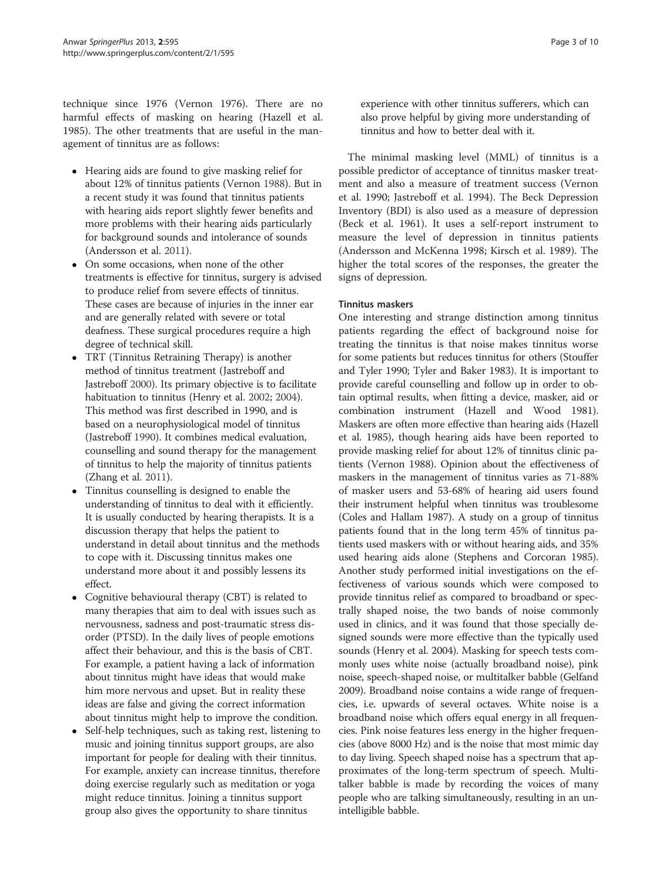<span id="page-3-0"></span>technique since 1976 (Vernon [1976\)](#page-9-0). There are no harmful effects of masking on hearing (Hazell et al. [1985](#page-9-0)). The other treatments that are useful in the management of tinnitus are as follows:

- Hearing aids are found to give masking relief for about 12% of tinnitus patients (Vernon [1988](#page-9-0)). But in a recent study it was found that tinnitus patients with hearing aids report slightly fewer benefits and more problems with their hearing aids particularly for background sounds and intolerance of sounds (Andersson et al. [2011](#page-8-0)).
- On some occasions, when none of the other treatments is effective for tinnitus, surgery is advised to produce relief from severe effects of tinnitus. These cases are because of injuries in the inner ear and are generally related with severe or total deafness. These surgical procedures require a high degree of technical skill.
- TRT (Tinnitus Retraining Therapy) is another method of tinnitus treatment (Jastreboff and Jastreboff [2000](#page-9-0)). Its primary objective is to facilitate habituation to tinnitus (Henry et al. [2002;](#page-9-0) [2004](#page-9-0)). This method was first described in 1990, and is based on a neurophysiological model of tinnitus (Jastreboff [1990\)](#page-9-0). It combines medical evaluation, counselling and sound therapy for the management of tinnitus to help the majority of tinnitus patients (Zhang et al. [2011](#page-9-0)).
- Tinnitus counselling is designed to enable the understanding of tinnitus to deal with it efficiently. It is usually conducted by hearing therapists. It is a discussion therapy that helps the patient to understand in detail about tinnitus and the methods to cope with it. Discussing tinnitus makes one understand more about it and possibly lessens its effect.
- Cognitive behavioural therapy (CBT) is related to many therapies that aim to deal with issues such as nervousness, sadness and post-traumatic stress disorder (PTSD). In the daily lives of people emotions affect their behaviour, and this is the basis of CBT. For example, a patient having a lack of information about tinnitus might have ideas that would make him more nervous and upset. But in reality these ideas are false and giving the correct information about tinnitus might help to improve the condition.
- Self-help techniques, such as taking rest, listening to music and joining tinnitus support groups, are also important for people for dealing with their tinnitus. For example, anxiety can increase tinnitus, therefore doing exercise regularly such as meditation or yoga might reduce tinnitus. Joining a tinnitus support group also gives the opportunity to share tinnitus

experience with other tinnitus sufferers, which can also prove helpful by giving more understanding of tinnitus and how to better deal with it.

The minimal masking level (MML) of tinnitus is a possible predictor of acceptance of tinnitus masker treatment and also a measure of treatment success (Vernon et al. [1990;](#page-9-0) Jastreboff et al. [1994\)](#page-9-0). The Beck Depression Inventory (BDI) is also used as a measure of depression (Beck et al. [1961\)](#page-9-0). It uses a self-report instrument to measure the level of depression in tinnitus patients (Andersson and McKenna [1998;](#page-8-0) Kirsch et al. [1989\)](#page-9-0). The higher the total scores of the responses, the greater the signs of depression.

#### Tinnitus maskers

One interesting and strange distinction among tinnitus patients regarding the effect of background noise for treating the tinnitus is that noise makes tinnitus worse for some patients but reduces tinnitus for others (Stouffer and Tyler [1990](#page-9-0); Tyler and Baker [1983\)](#page-9-0). It is important to provide careful counselling and follow up in order to obtain optimal results, when fitting a device, masker, aid or combination instrument (Hazell and Wood [1981](#page-9-0)). Maskers are often more effective than hearing aids (Hazell et al. [1985](#page-9-0)), though hearing aids have been reported to provide masking relief for about 12% of tinnitus clinic patients (Vernon [1988](#page-9-0)). Opinion about the effectiveness of maskers in the management of tinnitus varies as 71-88% of masker users and 53-68% of hearing aid users found their instrument helpful when tinnitus was troublesome (Coles and Hallam [1987\)](#page-9-0). A study on a group of tinnitus patients found that in the long term 45% of tinnitus patients used maskers with or without hearing aids, and 35% used hearing aids alone (Stephens and Corcoran [1985](#page-9-0)). Another study performed initial investigations on the effectiveness of various sounds which were composed to provide tinnitus relief as compared to broadband or spectrally shaped noise, the two bands of noise commonly used in clinics, and it was found that those specially designed sounds were more effective than the typically used sounds (Henry et al. [2004\)](#page-9-0). Masking for speech tests commonly uses white noise (actually broadband noise), pink noise, speech-shaped noise, or multitalker babble (Gelfand [2009](#page-9-0)). Broadband noise contains a wide range of frequencies, i.e. upwards of several octaves. White noise is a broadband noise which offers equal energy in all frequencies. Pink noise features less energy in the higher frequencies (above 8000 Hz) and is the noise that most mimic day to day living. Speech shaped noise has a spectrum that approximates of the long-term spectrum of speech. Multitalker babble is made by recording the voices of many people who are talking simultaneously, resulting in an unintelligible babble.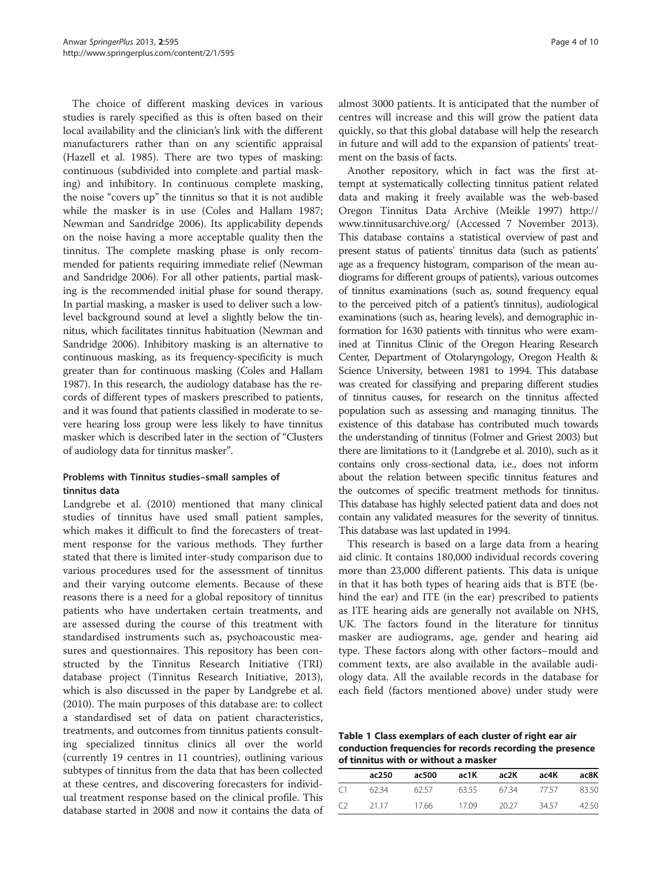<span id="page-4-0"></span>The choice of different masking devices in various studies is rarely specified as this is often based on their local availability and the clinician's link with the different manufacturers rather than on any scientific appraisal (Hazell et al. [1985](#page-9-0)). There are two types of masking: continuous (subdivided into complete and partial masking) and inhibitory. In continuous complete masking, the noise "covers up" the tinnitus so that it is not audible while the masker is in use (Coles and Hallam [1987](#page-9-0); Newman and Sandridge [2006](#page-9-0)). Its applicability depends on the noise having a more acceptable quality then the tinnitus. The complete masking phase is only recommended for patients requiring immediate relief (Newman and Sandridge [2006](#page-9-0)). For all other patients, partial masking is the recommended initial phase for sound therapy. In partial masking, a masker is used to deliver such a lowlevel background sound at level a slightly below the tinnitus, which facilitates tinnitus habituation (Newman and Sandridge [2006](#page-9-0)). Inhibitory masking is an alternative to continuous masking, as its frequency-specificity is much greater than for continuous masking (Coles and Hallam [1987\)](#page-9-0). In this research, the audiology database has the records of different types of maskers prescribed to patients, and it was found that patients classified in moderate to severe hearing loss group were less likely to have tinnitus masker which is described later in the section of "Clusters of audiology data for tinnitus masker".

#### Problems with Tinnitus studies–small samples of tinnitus data

Landgrebe et al. [\(2010](#page-9-0)) mentioned that many clinical studies of tinnitus have used small patient samples, which makes it difficult to find the forecasters of treatment response for the various methods. They further stated that there is limited inter-study comparison due to various procedures used for the assessment of tinnitus and their varying outcome elements. Because of these reasons there is a need for a global repository of tinnitus patients who have undertaken certain treatments, and are assessed during the course of this treatment with standardised instruments such as, psychoacoustic measures and questionnaires. This repository has been constructed by the Tinnitus Research Initiative (TRI) database project (Tinnitus Research Initiative, [2013](#page-9-0)), which is also discussed in the paper by Landgrebe et al. ([2010](#page-9-0)). The main purposes of this database are: to collect a standardised set of data on patient characteristics, treatments, and outcomes from tinnitus patients consulting specialized tinnitus clinics all over the world (currently 19 centres in 11 countries), outlining various subtypes of tinnitus from the data that has been collected at these centres, and discovering forecasters for individual treatment response based on the clinical profile. This database started in 2008 and now it contains the data of almost 3000 patients. It is anticipated that the number of centres will increase and this will grow the patient data quickly, so that this global database will help the research in future and will add to the expansion of patients' treatment on the basis of facts.

Another repository, which in fact was the first attempt at systematically collecting tinnitus patient related data and making it freely available was the web-based Oregon Tinnitus Data Archive (Meikle [1997](#page-9-0)) [http://](http://www.tinnitusarchive.org/) [www.tinnitusarchive.org/](http://www.tinnitusarchive.org/) (Accessed 7 November 2013). This database contains a statistical overview of past and present status of patients' tinnitus data (such as patients' age as a frequency histogram, comparison of the mean audiograms for different groups of patients), various outcomes of tinnitus examinations (such as, sound frequency equal to the perceived pitch of a patient's tinnitus), audiological examinations (such as, hearing levels), and demographic information for 1630 patients with tinnitus who were examined at Tinnitus Clinic of the Oregon Hearing Research Center, Department of Otolaryngology, Oregon Health & Science University, between 1981 to 1994. This database was created for classifying and preparing different studies of tinnitus causes, for research on the tinnitus affected population such as assessing and managing tinnitus. The existence of this database has contributed much towards the understanding of tinnitus (Folmer and Griest [2003](#page-9-0)) but there are limitations to it (Landgrebe et al. [2010](#page-9-0)), such as it contains only cross-sectional data, i.e., does not inform about the relation between specific tinnitus features and the outcomes of specific treatment methods for tinnitus. This database has highly selected patient data and does not contain any validated measures for the severity of tinnitus. This database was last updated in 1994.

This research is based on a large data from a hearing aid clinic. It contains 180,000 individual records covering more than 23,000 different patients. This data is unique in that it has both types of hearing aids that is BTE (behind the ear) and ITE (in the ear) prescribed to patients as ITE hearing aids are generally not available on NHS, UK. The factors found in the literature for tinnitus masker are audiograms, age, gender and hearing aid type. These factors along with other factors–mould and comment texts, are also available in the available audiology data. All the available records in the database for each field (factors mentioned above) under study were

Table 1 Class exemplars of each cluster of right ear air conduction frequencies for records recording the presence of tinnitus with or without a masker

|           | ac250 | ac500 | ac1K  | ac2K  | ac4K  | ac8K  |
|-----------|-------|-------|-------|-------|-------|-------|
| $\bigcap$ | 6234  | 62.57 | 63.55 | 67.34 | 77.57 | 83.50 |
| C)        | 21 17 | 17.66 | 1709  | 20.27 | 34.57 | 42.50 |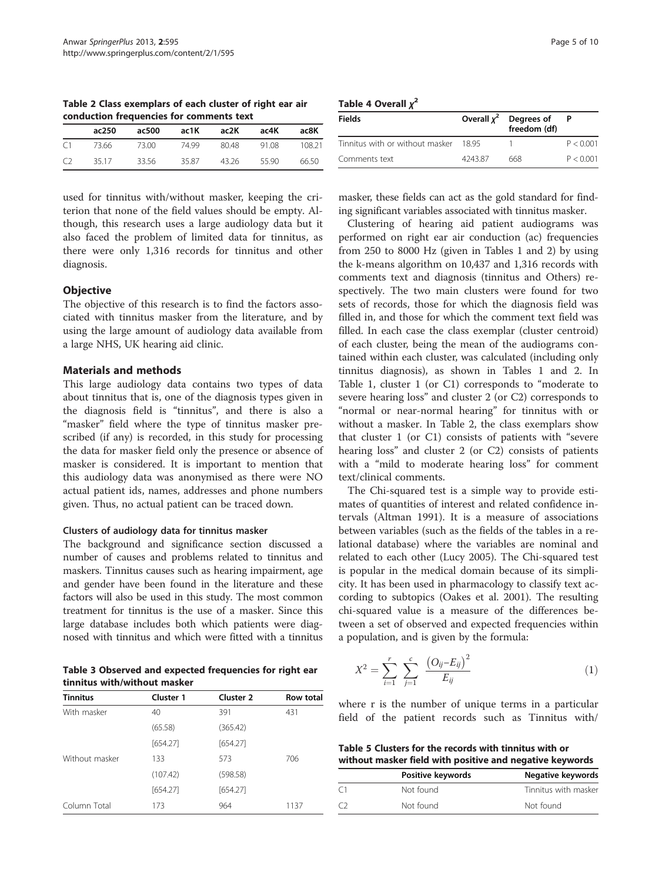<span id="page-5-0"></span>Table 2 Class exemplars of each cluster of right ear air conduction frequencies for comments text

|           | ac250 | ac500 | ac1K  | ac2K  | ac4K  | ac8K   |
|-----------|-------|-------|-------|-------|-------|--------|
|           |       |       |       |       |       |        |
| $\bigcap$ | 73.66 | 73.00 | 74.99 | 80.48 | 91.08 | 108.21 |
| C         | 35 17 | 33.56 | 35.87 | 43.26 | 55.90 | 66.50  |

used for tinnitus with/without masker, keeping the criterion that none of the field values should be empty. Although, this research uses a large audiology data but it also faced the problem of limited data for tinnitus, as there were only 1,316 records for tinnitus and other diagnosis.

#### **Objective**

The objective of this research is to find the factors associated with tinnitus masker from the literature, and by using the large amount of audiology data available from a large NHS, UK hearing aid clinic.

#### Materials and methods

This large audiology data contains two types of data about tinnitus that is, one of the diagnosis types given in the diagnosis field is "tinnitus", and there is also a "masker" field where the type of tinnitus masker prescribed (if any) is recorded, in this study for processing the data for masker field only the presence or absence of masker is considered. It is important to mention that this audiology data was anonymised as there were NO actual patient ids, names, addresses and phone numbers given. Thus, no actual patient can be traced down.

#### Clusters of audiology data for tinnitus masker

The [background and significance](#page-0-0) section discussed a number of causes and problems related to tinnitus and maskers. Tinnitus causes such as hearing impairment, age and gender have been found in the literature and these factors will also be used in this study. The most common treatment for tinnitus is the use of a masker. Since this large database includes both which patients were diagnosed with tinnitus and which were fitted with a tinnitus

Table 3 Observed and expected frequencies for right ear tinnitus with/without masker

| <b>Tinnitus</b> | Cluster 1 | Cluster 2 | <b>Row total</b> |
|-----------------|-----------|-----------|------------------|
| With masker     | 40        | 391       | 431              |
|                 | (65.58)   | (365.42)  |                  |
|                 | [654.27]  | [654.27]  |                  |
| Without masker  | 133       | 573       | 706              |
|                 | (107.42)  | (598.58)  |                  |
|                 | [654.27]  | [654.27]  |                  |
| Column Total    | 173       | 964       | 1137             |

|  |  |  | Table 4 Overall $\chi^2$ |  |
|--|--|--|--------------------------|--|
|--|--|--|--------------------------|--|

|                                       | freedom (df) |                          |
|---------------------------------------|--------------|--------------------------|
| Tinnitus with or without masker 18.95 |              | P < 0.001                |
| 4243.87                               | 668          | P < 0.001                |
|                                       |              | Overall $x^2$ Degrees of |

masker, these fields can act as the gold standard for finding significant variables associated with tinnitus masker.

Clustering of hearing aid patient audiograms was performed on right ear air conduction (ac) frequencies from 250 to 8000 Hz (given in Tables [1](#page-3-0) and [2](#page-4-0)) by using the k-means algorithm on 10,437 and 1,316 records with comments text and diagnosis (tinnitus and Others) respectively. The two main clusters were found for two sets of records, those for which the diagnosis field was filled in, and those for which the comment text field was filled. In each case the class exemplar (cluster centroid) of each cluster, being the mean of the audiograms contained within each cluster, was calculated (including only tinnitus diagnosis), as shown in Tables [1](#page-3-0) and [2.](#page-4-0) In Table [1,](#page-3-0) cluster 1 (or C1) corresponds to "moderate to severe hearing loss" and cluster 2 (or C2) corresponds to "normal or near-normal hearing" for tinnitus with or without a masker. In Table [2,](#page-4-0) the class exemplars show that cluster 1 (or C1) consists of patients with "severe hearing loss" and cluster 2 (or C2) consists of patients with a "mild to moderate hearing loss" for comment text/clinical comments.

The Chi-squared test is a simple way to provide estimates of quantities of interest and related confidence intervals (Altman [1991](#page-8-0)). It is a measure of associations between variables (such as the fields of the tables in a relational database) where the variables are nominal and related to each other (Lucy [2005\)](#page-9-0). The Chi-squared test is popular in the medical domain because of its simplicity. It has been used in pharmacology to classify text according to subtopics (Oakes et al. [2001\)](#page-9-0). The resulting chi-squared value is a measure of the differences between a set of observed and expected frequencies within a population, and is given by the formula:

$$
X^{2} = \sum_{i=1}^{r} \sum_{j=1}^{c} \frac{(O_{ij} - E_{ij})^{2}}{E_{ij}}
$$
(1)

where r is the number of unique terms in a particular field of the patient records such as Tinnitus with/

Table 5 Clusters for the records with tinnitus with or without masker field with positive and negative keywords

| Positive keywords | Negative keywords    |
|-------------------|----------------------|
| Not found         | Tinnitus with masker |
| Not found         | Not found            |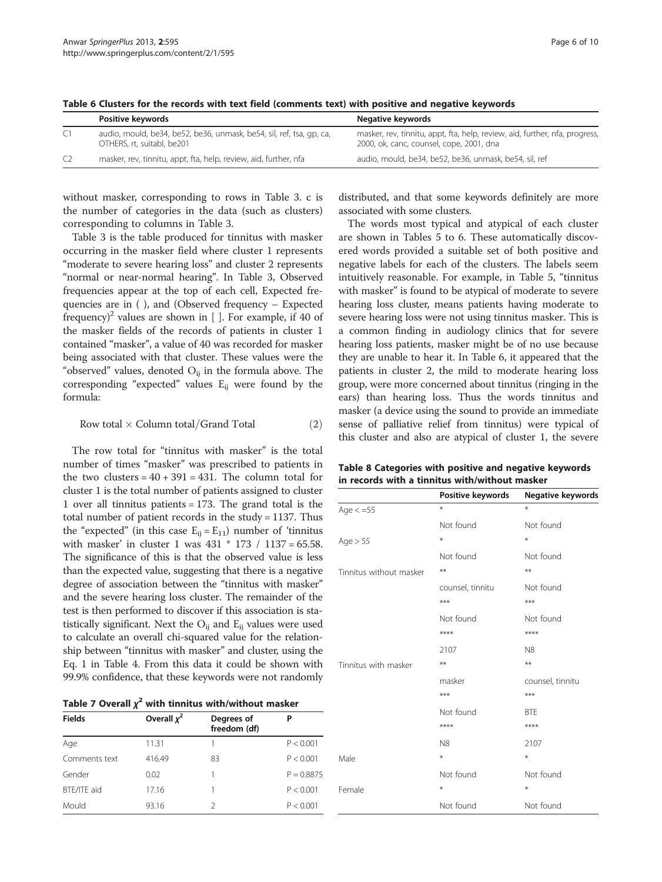<span id="page-6-0"></span>Table 6 Clusters for the records with text field (comments text) with positive and negative keywords

| Positive keywords                                                                                  | Negative keywords                                                                                                       |
|----------------------------------------------------------------------------------------------------|-------------------------------------------------------------------------------------------------------------------------|
| audio, mould, be34, be52, be36, unmask, be54, sil, ref, tsa, qp, ca,<br>OTHERS, rt, suitabl, be201 | masker, rev, tinnitu, appt, fta, help, review, aid, further, nfa, progress,<br>2000, ok, canc, counsel, cope, 2001, dna |
| masker, rev, tinnitu, appt, fta, help, review, aid, further, nfa                                   | audio, mould, be34, be52, be36, unmask, be54, sil, ref                                                                  |

without masker, corresponding to rows in Table [3](#page-4-0). c is the number of categories in the data (such as clusters) corresponding to columns in Table [3](#page-4-0).

Table [3](#page-4-0) is the table produced for tinnitus with masker occurring in the masker field where cluster 1 represents "moderate to severe hearing loss" and cluster 2 represents "normal or near-normal hearing". In Table [3](#page-4-0), Observed frequencies appear at the top of each cell, Expected frequencies are in ( ), and (Observed frequency – Expected frequency)<sup>2</sup> values are shown in [ ]. For example, if 40 of the masker fields of the records of patients in cluster 1 contained "masker", a value of 40 was recorded for masker being associated with that cluster. These values were the "observed" values, denoted  $O_{ii}$  in the formula above. The corresponding "expected" values  $E_{ii}$  were found by the formula:

Row total 
$$
\times
$$
 Column total/Grand Total (2)

The row total for "tinnitus with masker" is the total number of times "masker" was prescribed to patients in the two clusters =  $40 + 391 = 431$ . The column total for cluster 1 is the total number of patients assigned to cluster 1 over all tinnitus patients = 173. The grand total is the total number of patient records in the study = 1137. Thus the "expected" (in this case  $E_{ii} = E_{11}$ ) number of 'tinnitus with masker' in cluster 1 was 431 \* 173 / 1137 = 65.58. The significance of this is that the observed value is less than the expected value, suggesting that there is a negative degree of association between the "tinnitus with masker" and the severe hearing loss cluster. The remainder of the test is then performed to discover if this association is statistically significant. Next the  $O_{ij}$  and  $E_{ij}$  values were used to calculate an overall chi-squared value for the relationship between "tinnitus with masker" and cluster, using the Eq. [1](#page-4-0) in Table [4.](#page-4-0) From this data it could be shown with 99.9% confidence, that these keywords were not randomly

Table 7 Overall  $\chi^2$  with tinnitus with/without masker

| <b>Fields</b> | Overall $\chi^2$ | Degrees of<br>freedom (df) | Ρ            |
|---------------|------------------|----------------------------|--------------|
| Age           | 11.31            |                            | P < 0.001    |
| Comments text | 416.49           | 83                         | P < 0.001    |
| Gender        | 0.02             |                            | $P = 0.8875$ |
| BTE/ITE aid   | 17.16            |                            | P < 0.001    |
| Mould         | 93.16            |                            | P < 0.001    |

distributed, and that some keywords definitely are more associated with some clusters.

The words most typical and atypical of each cluster are shown in Tables [5](#page-4-0) to [6](#page-5-0). These automatically discovered words provided a suitable set of both positive and negative labels for each of the clusters. The labels seem intuitively reasonable. For example, in Table [5,](#page-4-0) "tinnitus with masker" is found to be atypical of moderate to severe hearing loss cluster, means patients having moderate to severe hearing loss were not using tinnitus masker. This is a common finding in audiology clinics that for severe hearing loss patients, masker might be of no use because they are unable to hear it. In Table [6,](#page-5-0) it appeared that the patients in cluster 2, the mild to moderate hearing loss group, were more concerned about tinnitus (ringing in the ears) than hearing loss. Thus the words tinnitus and masker (a device using the sound to provide an immediate sense of palliative relief from tinnitus) were typical of this cluster and also are atypical of cluster 1, the severe

|                                                | Table 8 Categories with positive and negative keywords |
|------------------------------------------------|--------------------------------------------------------|
| in records with a tinnitus with/without masker |                                                        |

|                         | Positive keywords | Negative keywords |
|-------------------------|-------------------|-------------------|
| Age $< = 55$            | $\ast$            | ⋇                 |
|                         | Not found         | Not found         |
| Age > 55                | $\ast$            | ₩                 |
|                         | Not found         | Not found         |
| Tinnitus without masker | **                | **                |
|                         | counsel, tinnitu  | Not found         |
|                         | ***               | ***               |
|                         | Not found         | Not found         |
|                         | ****              | ****              |
|                         | 2107              | <b>N8</b>         |
| Tinnitus with masker    | **                | **                |
|                         | masker            | counsel, tinnitu  |
|                         | ***               | ***               |
|                         | Not found         | <b>BTE</b>        |
|                         | ****              | ****              |
|                         | <b>N8</b>         | 2107              |
| Male                    | $*$               | ₩                 |
|                         | Not found         | Not found         |
| Female                  | $*$               | ⋇                 |
|                         | Not found         | Not found         |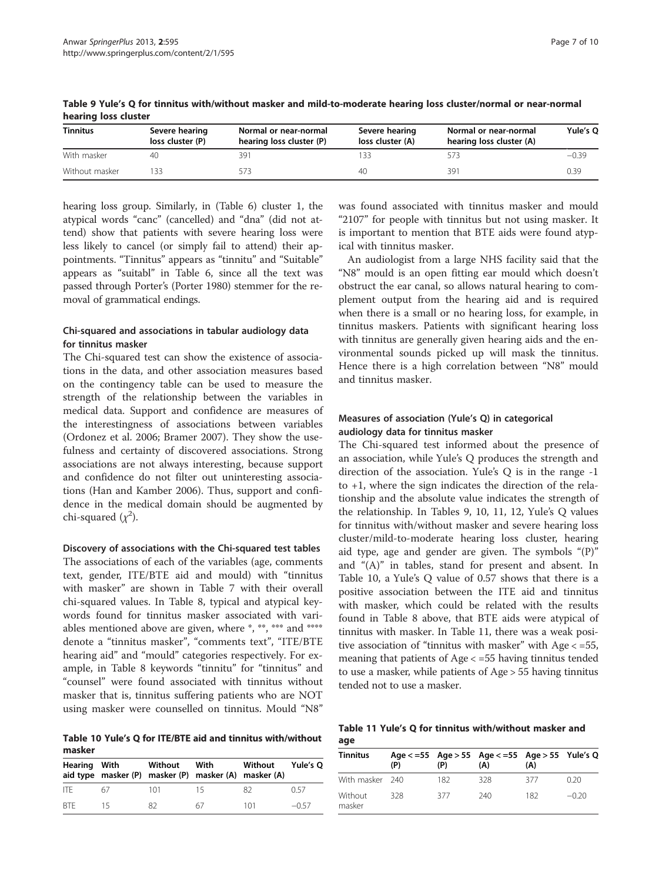| <b>Tinnitus</b> | Severe hearing<br>loss cluster (P) | Normal or near-normal<br>hearing loss cluster (P) | Severe hearing<br>loss cluster (A) | Normal or near-normal<br>hearing loss cluster (A) | Yule's O |
|-----------------|------------------------------------|---------------------------------------------------|------------------------------------|---------------------------------------------------|----------|
| With masker     | 4(                                 | 391                                               | 33                                 | 573                                               | $-0.39$  |
| Without masker  |                                    | 573                                               | 40                                 | 391                                               | 0.39     |

<span id="page-7-0"></span>Table 9 Yule's Q for tinnitus with/without masker and mild-to-moderate hearing loss cluster/normal or near-normal hearing loss cluster

hearing loss group. Similarly, in (Table [6](#page-5-0)) cluster 1, the atypical words "canc" (cancelled) and "dna" (did not attend) show that patients with severe hearing loss were less likely to cancel (or simply fail to attend) their appointments. "Tinnitus" appears as "tinnitu" and "Suitable" appears as "suitabl" in Table [6,](#page-5-0) since all the text was passed through Porter's (Porter [1980\)](#page-9-0) stemmer for the removal of grammatical endings.

#### Chi-squared and associations in tabular audiology data for tinnitus masker

The Chi-squared test can show the existence of associations in the data, and other association measures based on the contingency table can be used to measure the strength of the relationship between the variables in medical data. Support and confidence are measures of the interestingness of associations between variables (Ordonez et al. [2006;](#page-9-0) Bramer [2007](#page-9-0)). They show the usefulness and certainty of discovered associations. Strong associations are not always interesting, because support and confidence do not filter out uninteresting associations (Han and Kamber [2006\)](#page-9-0). Thus, support and confidence in the medical domain should be augmented by chi-squared  $(\chi^2)$ .

#### Discovery of associations with the Chi-squared test tables

The associations of each of the variables (age, comments text, gender, ITE/BTE aid and mould) with "tinnitus with masker" are shown in Table [7](#page-5-0) with their overall chi-squared values. In Table [8,](#page-5-0) typical and atypical keywords found for tinnitus masker associated with variables mentioned above are given, where \*, \*\*, \*\*\* and \*\*\*\* denote a "tinnitus masker", "comments text", "ITE/BTE hearing aid" and "mould" categories respectively. For example, in Table [8](#page-5-0) keywords "tinnitu" for "tinnitus" and "counsel" were found associated with tinnitus without masker that is, tinnitus suffering patients who are NOT using masker were counselled on tinnitus. Mould "N8"

Table 10 Yule's Q for ITE/BTE aid and tinnitus with/without masker

| Hearing With |    | Without | With<br>aid type masker (P) masker (P) masker (A) masker (A) | Without | Yule's O |
|--------------|----|---------|--------------------------------------------------------------|---------|----------|
| ITF          | 67 | 101     | 15                                                           | 82      | በ 57     |
| <b>BTF</b>   | 15 | 82      | 67                                                           | 101     | $-0.57$  |

was found associated with tinnitus masker and mould "2107" for people with tinnitus but not using masker. It is important to mention that BTE aids were found atypical with tinnitus masker.

An audiologist from a large NHS facility said that the "N8" mould is an open fitting ear mould which doesn't obstruct the ear canal, so allows natural hearing to complement output from the hearing aid and is required when there is a small or no hearing loss, for example, in tinnitus maskers. Patients with significant hearing loss with tinnitus are generally given hearing aids and the environmental sounds picked up will mask the tinnitus. Hence there is a high correlation between "N8" mould and tinnitus masker.

#### Measures of association (Yule's Q) in categorical audiology data for tinnitus masker

The Chi-squared test informed about the presence of an association, while Yule's Q produces the strength and direction of the association. Yule's Q is in the range -1 to +1, where the sign indicates the direction of the relationship and the absolute value indicates the strength of the relationship. In Tables [9](#page-6-0), [10, 11,](#page-6-0) 12, Yule's Q values for tinnitus with/without masker and severe hearing loss cluster/mild-to-moderate hearing loss cluster, hearing aid type, age and gender are given. The symbols "(P)" and "(A)" in tables, stand for present and absent. In Table [10](#page-6-0), a Yule's Q value of 0.57 shows that there is a positive association between the ITE aid and tinnitus with masker, which could be related with the results found in Table [8](#page-5-0) above, that BTE aids were atypical of tinnitus with masker. In Table [11](#page-6-0), there was a weak positive association of "tinnitus with masker" with Age < =55, meaning that patients of Age < =55 having tinnitus tended to use a masker, while patients of Age > 55 having tinnitus tended not to use a masker.

Table 11 Yule's Q for tinnitus with/without masker and age

| <b>Tinnitus</b>   | (P)  | (P) | Age $\lt$ =55 Age > 55 Age $\lt$ =55 Age > 55 Yule's Q<br>(A) | (A) |         |
|-------------------|------|-----|---------------------------------------------------------------|-----|---------|
| With masker 240   |      | 182 | 328                                                           | 377 | 0.20    |
| Without<br>masker | -328 | 377 | 240                                                           | 182 | $-0.20$ |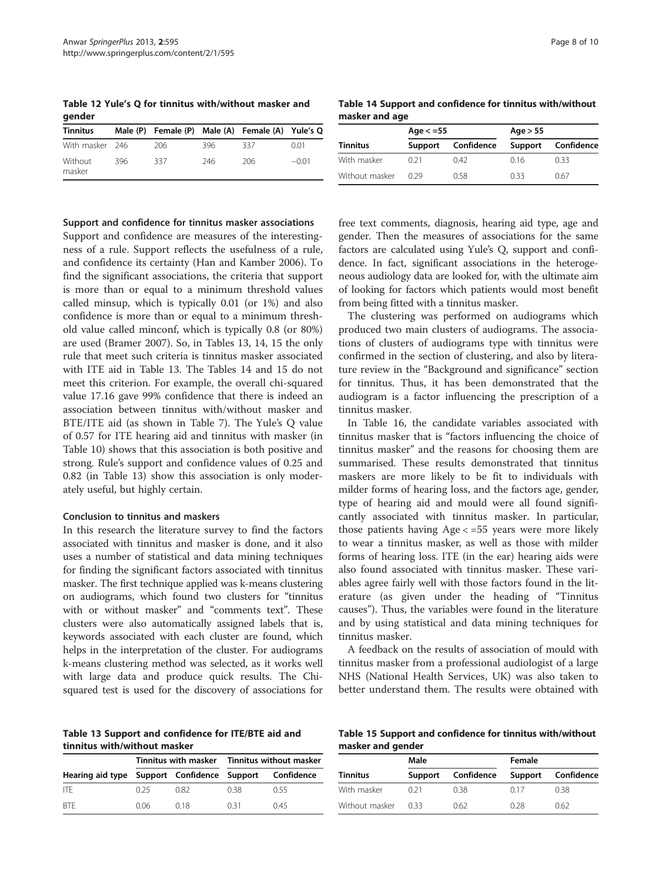<span id="page-8-0"></span>Table 12 Yule's Q for tinnitus with/without masker and gender

| <b>Tinnitus</b>   |     |     |     | Male (P) Female (P) Male (A) Female (A) Yule's Q |         |
|-------------------|-----|-----|-----|--------------------------------------------------|---------|
| With masker 246   |     | 206 | 396 | 337                                              | 0.01    |
| Without<br>masker | 396 | 337 | 246 | -206                                             | $-0.01$ |

Table 14 Support and confidence for tinnitus with/without masker and age

|                 | Age $< = 55$ |            | Age $> 55$ |            |
|-----------------|--------------|------------|------------|------------|
| <b>Tinnitus</b> | Support      | Confidence | Support    | Confidence |
| With masker     | O 21         | 0.42       | 0.16       | 033        |
| Without masker  | 0.29         | 0.58       | 033        | 067        |

#### Support and confidence for tinnitus masker associations

Support and confidence are measures of the interestingness of a rule. Support reflects the usefulness of a rule, and confidence its certainty (Han and Kamber [2006](#page-9-0)). To find the significant associations, the criteria that support is more than or equal to a minimum threshold values called minsup, which is typically 0.01 (or 1%) and also confidence is more than or equal to a minimum threshold value called minconf, which is typically 0.8 (or 80%) are used (Bramer [2007](#page-9-0)). So, in Tables [13, 14, 15](#page-7-0) the only rule that meet such criteria is tinnitus masker associated with ITE aid in Table [13](#page-7-0). The Tables [14](#page-7-0) and [15](#page-7-0) do not meet this criterion. For example, the overall chi-squared value 17.16 gave 99% confidence that there is indeed an association between tinnitus with/without masker and BTE/ITE aid (as shown in Table [7\)](#page-5-0). The Yule's Q value of 0.57 for ITE hearing aid and tinnitus with masker (in Table [10\)](#page-6-0) shows that this association is both positive and strong. Rule's support and confidence values of 0.25 and 0.82 (in Table [13\)](#page-7-0) show this association is only moderately useful, but highly certain.

#### Conclusion to tinnitus and maskers

In this research the literature survey to find the factors associated with tinnitus and masker is done, and it also uses a number of statistical and data mining techniques for finding the significant factors associated with tinnitus masker. The first technique applied was k-means clustering on audiograms, which found two clusters for "tinnitus with or without masker" and "comments text". These clusters were also automatically assigned labels that is, keywords associated with each cluster are found, which helps in the interpretation of the cluster. For audiograms k-means clustering method was selected, as it works well with large data and produce quick results. The Chisquared test is used for the discovery of associations for

free text comments, diagnosis, hearing aid type, age and gender. Then the measures of associations for the same factors are calculated using Yule's Q, support and confidence. In fact, significant associations in the heterogeneous audiology data are looked for, with the ultimate aim of looking for factors which patients would most benefit from being fitted with a tinnitus masker.

The clustering was performed on audiograms which produced two main clusters of audiograms. The associations of clusters of audiograms type with tinnitus were confirmed in the section of clustering, and also by literature review in the "[Background and significance](#page-0-0)" section for tinnitus. Thus, it has been demonstrated that the audiogram is a factor influencing the prescription of a tinnitus masker.

In Table 16, the candidate variables associated with tinnitus masker that is "factors influencing the choice of tinnitus masker" and the reasons for choosing them are summarised. These results demonstrated that tinnitus maskers are more likely to be fit to individuals with milder forms of hearing loss, and the factors age, gender, type of hearing aid and mould were all found significantly associated with tinnitus masker. In particular, those patients having Age < =55 years were more likely to wear a tinnitus masker, as well as those with milder forms of hearing loss. ITE (in the ear) hearing aids were also found associated with tinnitus masker. These variables agree fairly well with those factors found in the literature (as given under the heading of "[Tinnitus](#page-1-0) [causes](#page-1-0)"). Thus, the variables were found in the literature and by using statistical and data mining techniques for tinnitus masker.

A feedback on the results of association of mould with tinnitus masker from a professional audiologist of a large NHS (National Health Services, UK) was also taken to better understand them. The results were obtained with

Table 13 Support and confidence for ITE/BTE aid and tinnitus with/without masker

Table 15 Support and confidence for tinnitus with/without masker and gender

|                                                        |     |      | Tinnitus with masker Tinnitus without masker |     |         |  |
|--------------------------------------------------------|-----|------|----------------------------------------------|-----|---------|--|
| Hearing aid type Support Confidence Support Confidence |     |      |                                              |     | Tinnitu |  |
| ITF                                                    | 025 | 0.82 | 0.38                                         | 055 | With m  |  |
| BTF                                                    | 006 | 0.18 | 0.31                                         | 045 | Withou  |  |
|                                                        |     |      |                                              |     |         |  |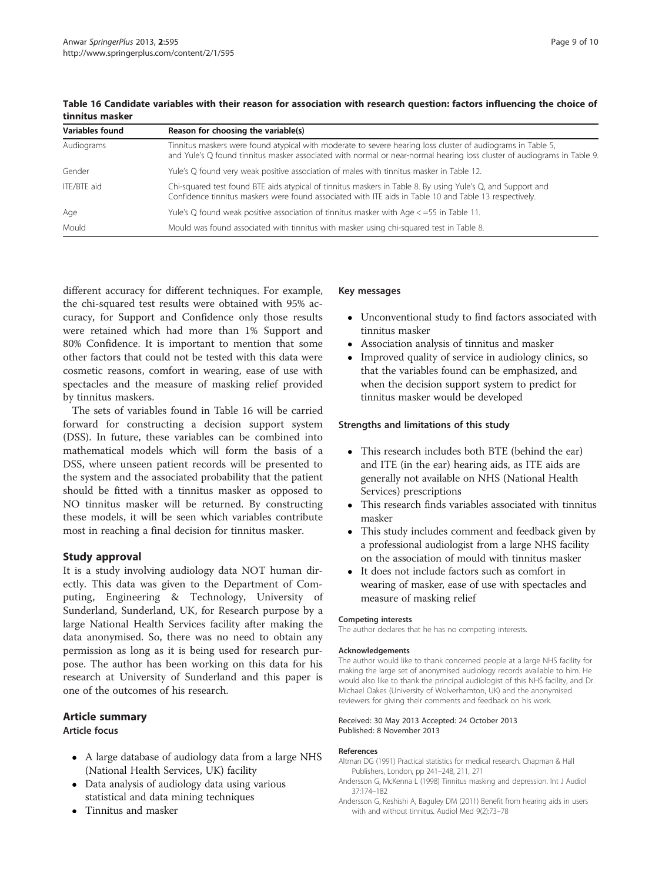| <b>Variables found</b> | Reason for choosing the variable(s)                                                                                                                                                                                                    |  |  |  |  |
|------------------------|----------------------------------------------------------------------------------------------------------------------------------------------------------------------------------------------------------------------------------------|--|--|--|--|
| Audiograms             | Tinnitus maskers were found atypical with moderate to severe hearing loss cluster of audiograms in Table 5,<br>and Yule's Q found tinnitus masker associated with normal or near-normal hearing loss cluster of audiograms in Table 9. |  |  |  |  |
| Gender                 | Yule's Q found very weak positive association of males with tinnitus masker in Table 12.                                                                                                                                               |  |  |  |  |
| ITE/BTE aid            | Chi-squared test found BTE aids atypical of tinnitus maskers in Table 8. By using Yule's Q, and Support and<br>Confidence tinnitus maskers were found associated with ITE aids in Table 10 and Table 13 respectively.                  |  |  |  |  |
| Age                    | Yule's Q found weak positive association of tinnitus masker with Age $\lt$ =55 in Table 11.                                                                                                                                            |  |  |  |  |
| Mould                  | Mould was found associated with tinnitus with masker using chi-squared test in Table 8.                                                                                                                                                |  |  |  |  |

<span id="page-9-0"></span>Table 16 Candidate variables with their reason for association with research question: factors influencing the choice of tinnitus masker

different accuracy for different techniques. For example, the chi-squared test results were obtained with 95% accuracy, for Support and Confidence only those results were retained which had more than 1% Support and 80% Confidence. It is important to mention that some other factors that could not be tested with this data were cosmetic reasons, comfort in wearing, ease of use with spectacles and the measure of masking relief provided by tinnitus maskers.

The sets of variables found in Table [16](#page-8-0) will be carried forward for constructing a decision support system (DSS). In future, these variables can be combined into mathematical models which will form the basis of a DSS, where unseen patient records will be presented to the system and the associated probability that the patient should be fitted with a tinnitus masker as opposed to NO tinnitus masker will be returned. By constructing these models, it will be seen which variables contribute most in reaching a final decision for tinnitus masker.

#### Study approval

It is a study involving audiology data NOT human directly. This data was given to the Department of Computing, Engineering & Technology, University of Sunderland, Sunderland, UK, for Research purpose by a large National Health Services facility after making the data anonymised. So, there was no need to obtain any permission as long as it is being used for research purpose. The author has been working on this data for his research at University of Sunderland and this paper is one of the outcomes of his research.

## Article summary

#### Article focus

- A large database of audiology data from a large NHS (National Health Services, UK) facility
- Data analysis of audiology data using various statistical and data mining techniques
- Tinnitus and masker

#### Key messages

- Unconventional study to find factors associated with tinnitus masker
- Association analysis of tinnitus and masker
- Improved quality of service in audiology clinics, so that the variables found can be emphasized, and when the decision support system to predict for tinnitus masker would be developed

#### Strengths and limitations of this study

- This research includes both BTE (behind the ear) and ITE (in the ear) hearing aids, as ITE aids are generally not available on NHS (National Health Services) prescriptions
- This research finds variables associated with tinnitus masker
- This study includes comment and feedback given by a professional audiologist from a large NHS facility on the association of mould with tinnitus masker
- It does not include factors such as comfort in wearing of masker, ease of use with spectacles and measure of masking relief

#### Competing interests

The author declares that he has no competing interests.

#### Acknowledgements

The author would like to thank concerned people at a large NHS facility for making the large set of anonymised audiology records available to him. He would also like to thank the principal audiologist of this NHS facility, and Dr. Michael Oakes (University of Wolverhamton, UK) and the anonymised reviewers for giving their comments and feedback on his work.

#### Received: 30 May 2013 Accepted: 24 October 2013 Published: 8 November 2013

#### References

- Altman DG (1991) Practical statistics for medical research. Chapman & Hall Publishers, London, pp 241–248, 211, 271
- Andersson G, McKenna L (1998) Tinnitus masking and depression. Int J Audiol 37:174–182
- Andersson G, Keshishi A, Baguley DM (2011) Benefit from hearing aids in users with and without tinnitus. Audiol Med 9(2):73–78